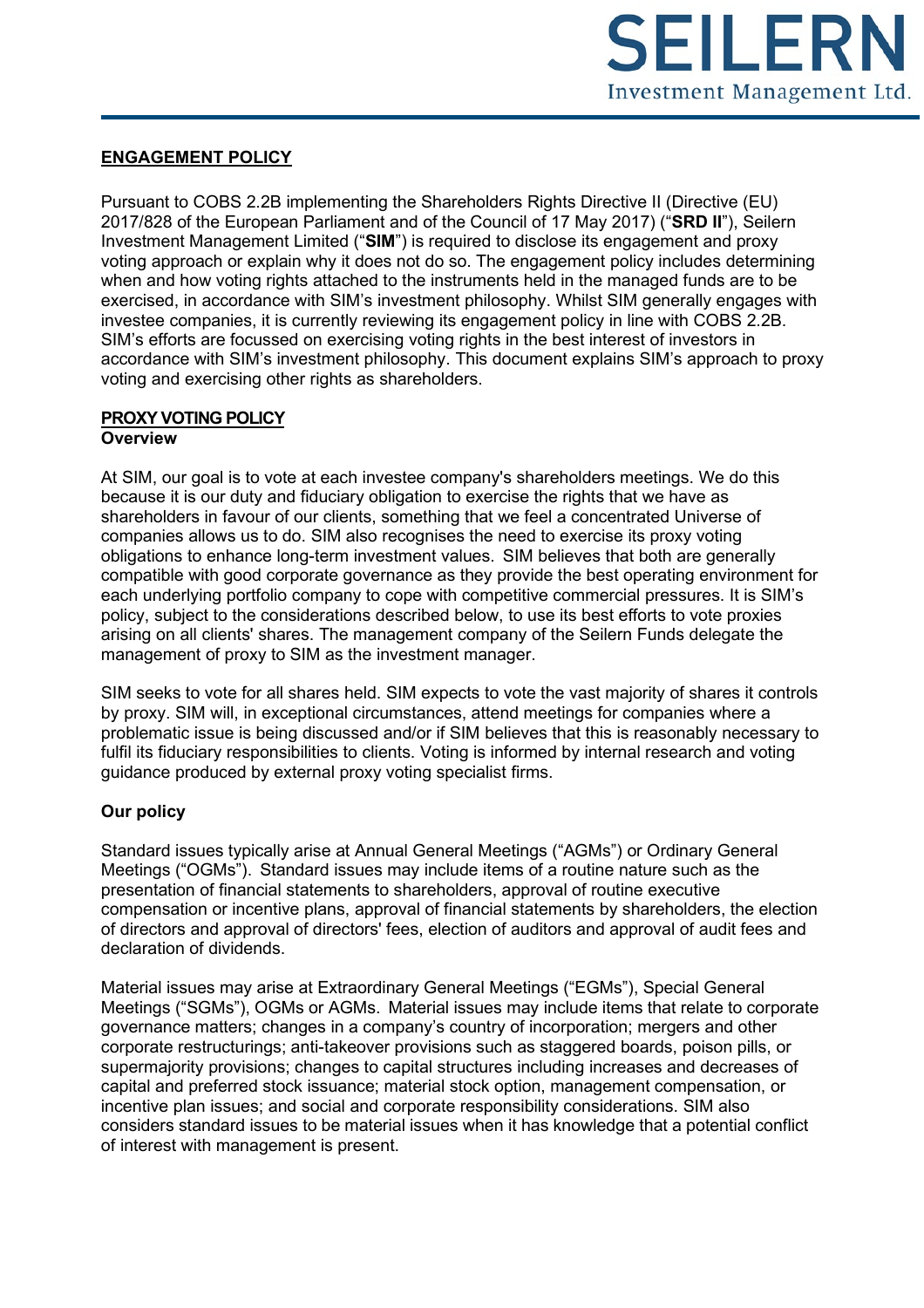

## **ENGAGEMENT POLICY**

Pursuant to COBS 2.2B implementing the Shareholders Rights Directive II (Directive (EU) 2017/828 of the European Parliament and of the Council of 17 May 2017) ("**SRD II**"), Seilern Investment Management Limited ("**SIM**") is required to disclose its engagement and proxy voting approach or explain why it does not do so. The engagement policy includes determining when and how voting rights attached to the instruments held in the managed funds are to be exercised, in accordance with SIM's investment philosophy. Whilst SIM generally engages with investee companies, it is currently reviewing its engagement policy in line with COBS 2.2B. SIM's efforts are focussed on exercising voting rights in the best interest of investors in accordance with SIM's investment philosophy. This document explains SIM's approach to proxy voting and exercising other rights as shareholders.

### **PROXY VOTING POLICY Overview**

At SIM, our goal is to vote at each investee company's shareholders meetings. We do this because it is our duty and fiduciary obligation to exercise the rights that we have as shareholders in favour of our clients, something that we feel a concentrated Universe of companies allows us to do. SIM also recognises the need to exercise its proxy voting obligations to enhance long-term investment values. SIM believes that both are generally compatible with good corporate governance as they provide the best operating environment for each underlying portfolio company to cope with competitive commercial pressures. It is SIM's policy, subject to the considerations described below, to use its best efforts to vote proxies arising on all clients' shares. The management company of the Seilern Funds delegate the management of proxy to SIM as the investment manager.

SIM seeks to vote for all shares held. SIM expects to vote the vast majority of shares it controls by proxy. SIM will, in exceptional circumstances, attend meetings for companies where a problematic issue is being discussed and/or if SIM believes that this is reasonably necessary to fulfil its fiduciary responsibilities to clients. Voting is informed by internal research and voting guidance produced by external proxy voting specialist firms.

# **Our policy**

Standard issues typically arise at Annual General Meetings ("AGMs") or Ordinary General Meetings ("OGMs"). Standard issues may include items of a routine nature such as the presentation of financial statements to shareholders, approval of routine executive compensation or incentive plans, approval of financial statements by shareholders, the election of directors and approval of directors' fees, election of auditors and approval of audit fees and declaration of dividends.

Material issues may arise at Extraordinary General Meetings ("EGMs"), Special General Meetings ("SGMs"), OGMs or AGMs. Material issues may include items that relate to corporate governance matters; changes in a company's country of incorporation; mergers and other corporate restructurings; anti-takeover provisions such as staggered boards, poison pills, or supermajority provisions; changes to capital structures including increases and decreases of capital and preferred stock issuance; material stock option, management compensation, or incentive plan issues; and social and corporate responsibility considerations. SIM also considers standard issues to be material issues when it has knowledge that a potential conflict of interest with management is present.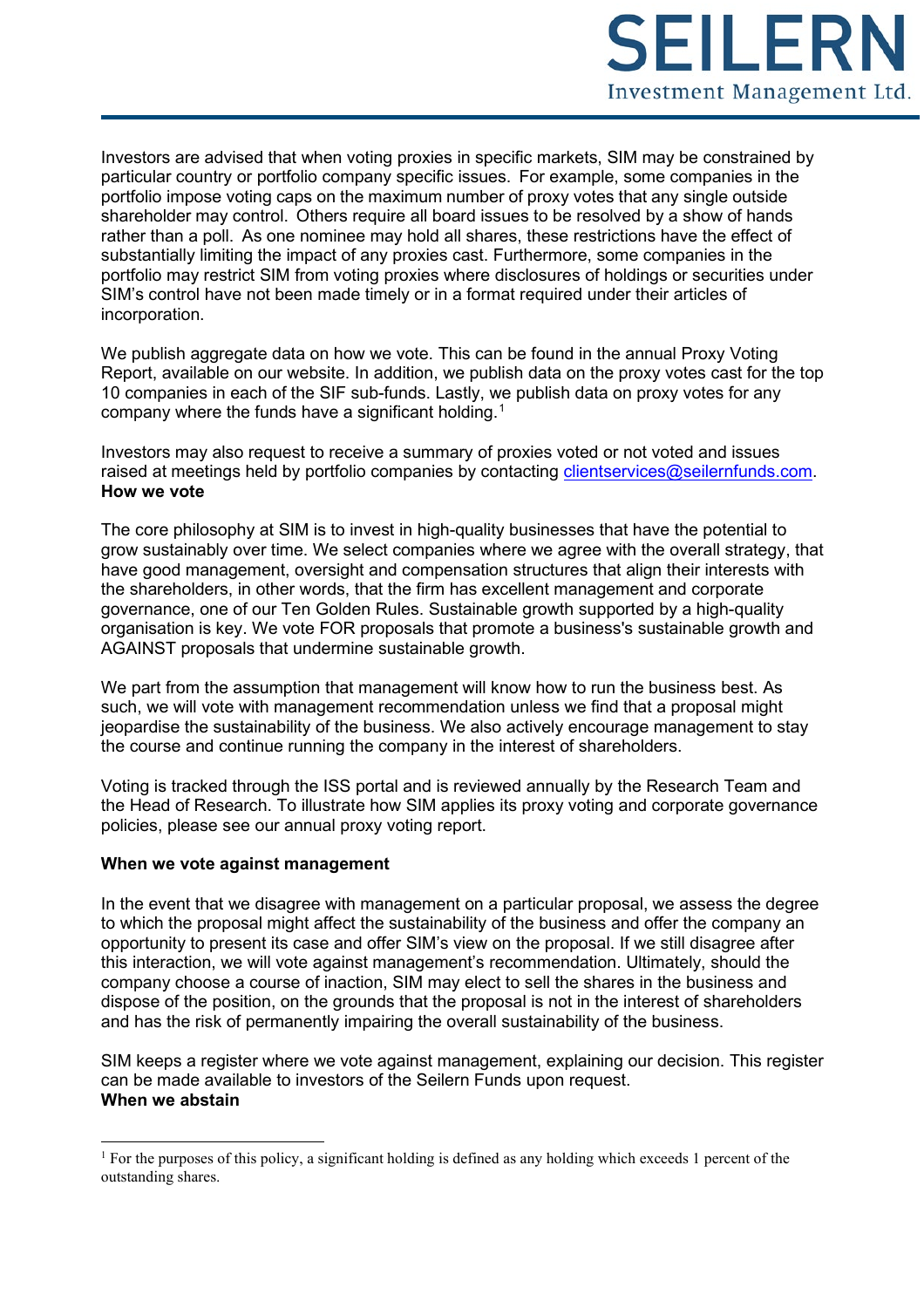

Investors are advised that when voting proxies in specific markets, SIM may be constrained by particular country or portfolio company specific issues. For example, some companies in the portfolio impose voting caps on the maximum number of proxy votes that any single outside shareholder may control. Others require all board issues to be resolved by a show of hands rather than a poll. As one nominee may hold all shares, these restrictions have the effect of substantially limiting the impact of any proxies cast. Furthermore, some companies in the portfolio may restrict SIM from voting proxies where disclosures of holdings or securities under SIM's control have not been made timely or in a format required under their articles of incorporation.

We publish aggregate data on how we vote. This can be found in the annual Proxy Voting Report, available on our website. In addition, we publish data on the proxy votes cast for the top 10 companies in each of the SIF sub-funds. Lastly, we publish data on proxy votes for any company where the funds have a significant holding. $^{\rm 1}$  $^{\rm 1}$  $^{\rm 1}$ 

Investors may also request to receive a summary of proxies voted or not voted and issues raised at meetings held by portfolio companies by contacting [clientservices@seilernfunds.com.](mailto:clientservices@seilernfunds.com) **How we vote**

The core philosophy at SIM is to invest in high-quality businesses that have the potential to grow sustainably over time. We select companies where we agree with the overall strategy, that have good management, oversight and compensation structures that align their interests with the shareholders, in other words, that the firm has excellent management and corporate governance, one of our Ten Golden Rules. Sustainable growth supported by a high-quality organisation is key. We vote FOR proposals that promote a business's sustainable growth and AGAINST proposals that undermine sustainable growth.

We part from the assumption that management will know how to run the business best. As such, we will vote with management recommendation unless we find that a proposal might jeopardise the sustainability of the business. We also actively encourage management to stay the course and continue running the company in the interest of shareholders.

Voting is tracked through the ISS portal and is reviewed annually by the Research Team and the Head of Research. To illustrate how SIM applies its proxy voting and corporate governance policies, please see our annual proxy voting report.

#### **When we vote against management**

In the event that we disagree with management on a particular proposal, we assess the degree to which the proposal might affect the sustainability of the business and offer the company an opportunity to present its case and offer SIM's view on the proposal. If we still disagree after this interaction, we will vote against management's recommendation. Ultimately, should the company choose a course of inaction, SIM may elect to sell the shares in the business and dispose of the position, on the grounds that the proposal is not in the interest of shareholders and has the risk of permanently impairing the overall sustainability of the business.

SIM keeps a register where we vote against management, explaining our decision. This register can be made available to investors of the Seilern Funds upon request. **When we abstain**

<span id="page-1-0"></span><sup>&</sup>lt;sup>1</sup> For the purposes of this policy, a significant holding is defined as any holding which exceeds 1 percent of the outstanding shares.